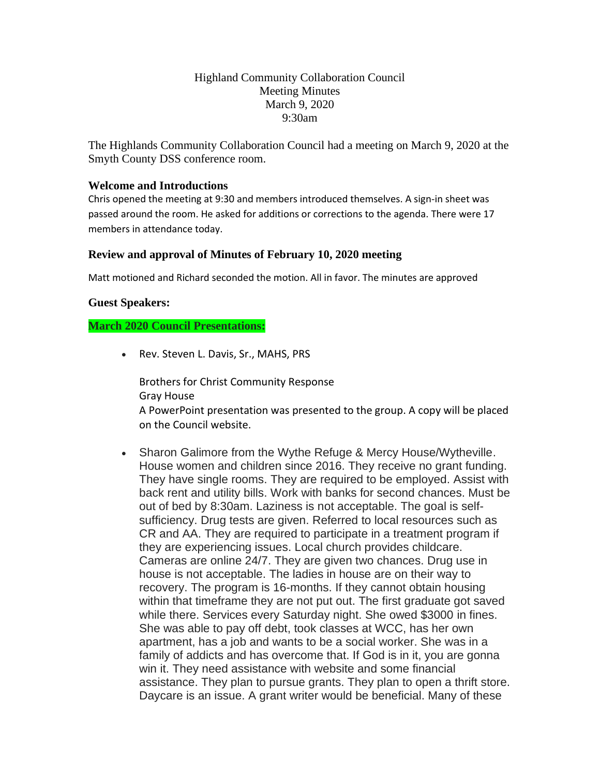# Highland Community Collaboration Council Meeting Minutes March 9, 2020 9:30am

The Highlands Community Collaboration Council had a meeting on March 9, 2020 at the Smyth County DSS conference room.

## **Welcome and Introductions**

Chris opened the meeting at 9:30 and members introduced themselves. A sign-in sheet was passed around the room. He asked for additions or corrections to the agenda. There were 17 members in attendance today.

#### **Review and approval of Minutes of February 10, 2020 meeting**

Matt motioned and Richard seconded the motion. All in favor. The minutes are approved

### **Guest Speakers:**

## **March 2020 Council Presentations:**

• Rev. Steven L. Davis, Sr., MAHS, PRS

Brothers for Christ Community Response Gray House A PowerPoint presentation was presented to the group. A copy will be placed on the Council website.

• Sharon Galimore from the Wythe Refuge & Mercy House/Wytheville. House women and children since 2016. They receive no grant funding. They have single rooms. They are required to be employed. Assist with back rent and utility bills. Work with banks for second chances. Must be out of bed by 8:30am. Laziness is not acceptable. The goal is selfsufficiency. Drug tests are given. Referred to local resources such as CR and AA. They are required to participate in a treatment program if they are experiencing issues. Local church provides childcare. Cameras are online 24/7. They are given two chances. Drug use in house is not acceptable. The ladies in house are on their way to recovery. The program is 16-months. If they cannot obtain housing within that timeframe they are not put out. The first graduate got saved while there. Services every Saturday night. She owed \$3000 in fines. She was able to pay off debt, took classes at WCC, has her own apartment, has a job and wants to be a social worker. She was in a family of addicts and has overcome that. If God is in it, you are gonna win it. They need assistance with website and some financial assistance. They plan to pursue grants. They plan to open a thrift store. Daycare is an issue. A grant writer would be beneficial. Many of these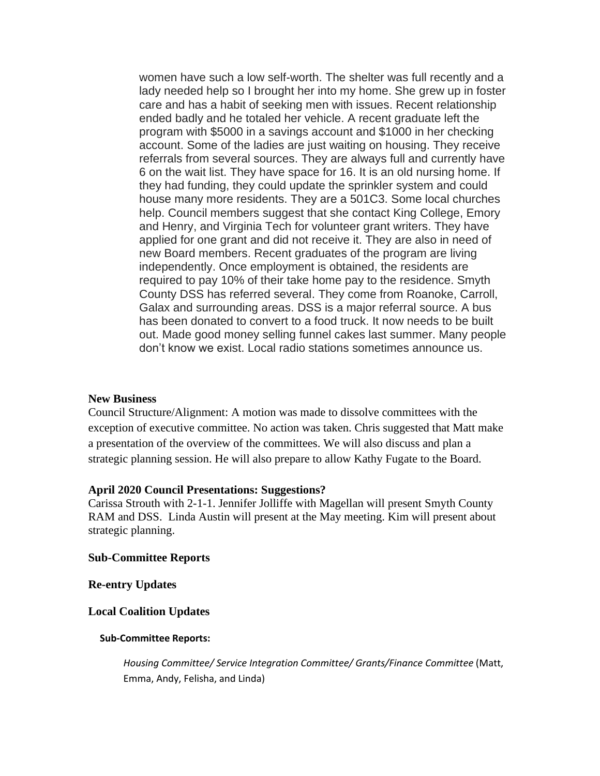women have such a low self-worth. The shelter was full recently and a lady needed help so I brought her into my home. She grew up in foster care and has a habit of seeking men with issues. Recent relationship ended badly and he totaled her vehicle. A recent graduate left the program with \$5000 in a savings account and \$1000 in her checking account. Some of the ladies are just waiting on housing. They receive referrals from several sources. They are always full and currently have 6 on the wait list. They have space for 16. It is an old nursing home. If they had funding, they could update the sprinkler system and could house many more residents. They are a 501C3. Some local churches help. Council members suggest that she contact King College, Emory and Henry, and Virginia Tech for volunteer grant writers. They have applied for one grant and did not receive it. They are also in need of new Board members. Recent graduates of the program are living independently. Once employment is obtained, the residents are required to pay 10% of their take home pay to the residence. Smyth County DSS has referred several. They come from Roanoke, Carroll, Galax and surrounding areas. DSS is a major referral source. A bus has been donated to convert to a food truck. It now needs to be built out. Made good money selling funnel cakes last summer. Many people don't know we exist. Local radio stations sometimes announce us.

#### **New Business**

Council Structure/Alignment: A motion was made to dissolve committees with the exception of executive committee. No action was taken. Chris suggested that Matt make a presentation of the overview of the committees. We will also discuss and plan a strategic planning session. He will also prepare to allow Kathy Fugate to the Board.

#### **April 2020 Council Presentations: Suggestions?**

Carissa Strouth with 2-1-1. Jennifer Jolliffe with Magellan will present Smyth County RAM and DSS. Linda Austin will present at the May meeting. Kim will present about strategic planning.

## **Sub-Committee Reports**

**Re-entry Updates**

## **Local Coalition Updates**

#### **Sub-Committee Reports:**

*Housing Committee/ Service Integration Committee/ Grants/Finance Committee* (Matt, Emma, Andy, Felisha, and Linda)